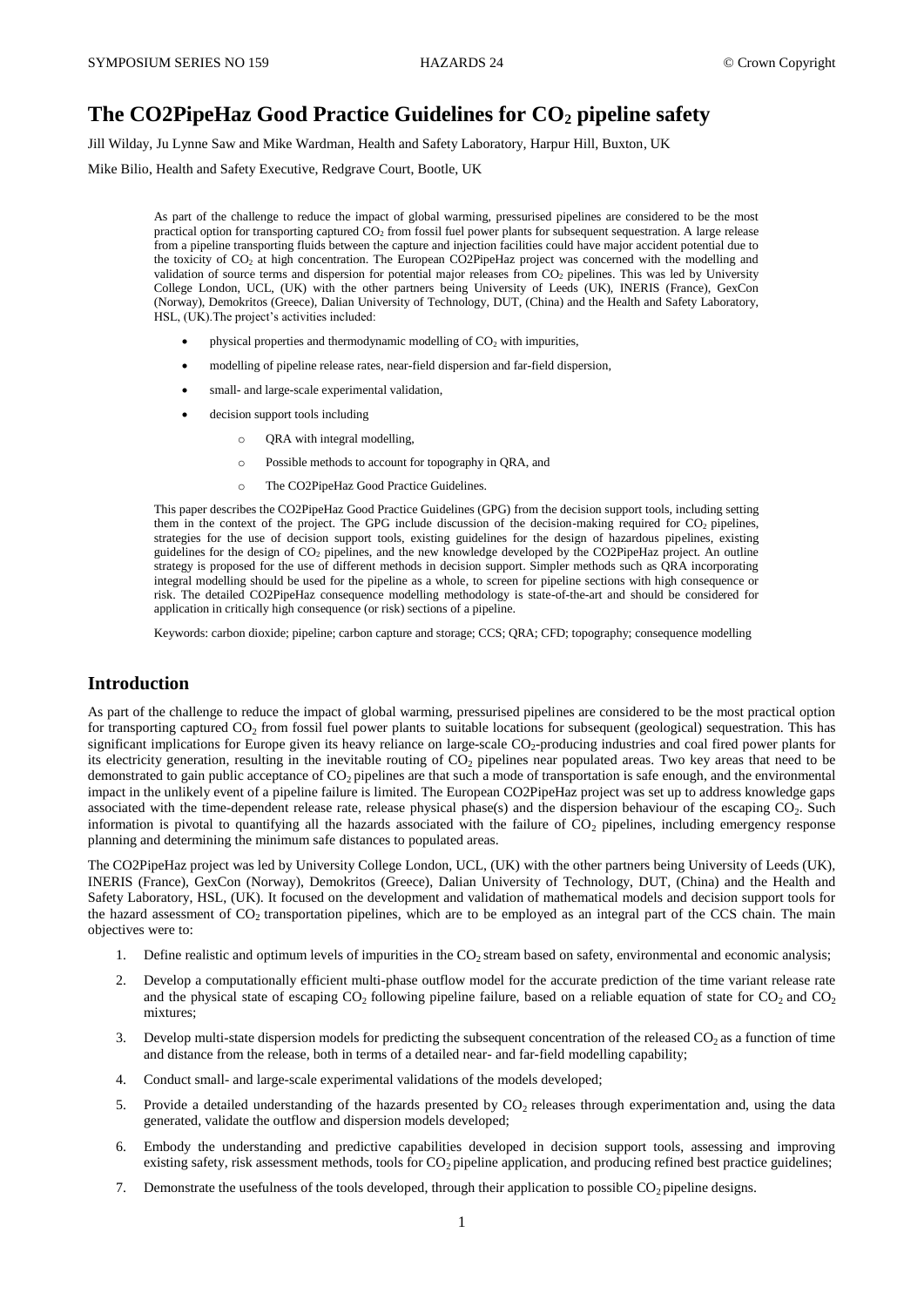# **The CO2PipeHaz Good Practice Guidelines for CO<sup>2</sup> pipeline safety**

Jill Wilday, Ju Lynne Saw and Mike Wardman, Health and Safety Laboratory, Harpur Hill, Buxton, UK

Mike Bilio, Health and Safety Executive, Redgrave Court, Bootle, UK

As part of the challenge to reduce the impact of global warming, pressurised pipelines are considered to be the most practical option for transporting captured CO<sup>2</sup> from fossil fuel power plants for subsequent sequestration. A large release from a pipeline transporting fluids between the capture and injection facilities could have major accident potential due to the toxicity of CO<sup>2</sup> at high concentration. The European CO2PipeHaz project was concerned with the modelling and validation of source terms and dispersion for potential major releases from CO<sub>2</sub> pipelines. This was led by University College London, UCL, (UK) with the other partners being University of Leeds (UK), INERIS (France), GexCon (Norway), Demokritos (Greece), Dalian University of Technology, DUT, (China) and the Health and Safety Laboratory, HSL, (UK).The project's activities included:

- physical properties and thermodynamic modelling of  $CO<sub>2</sub>$  with impurities,
- modelling of pipeline release rates, near-field dispersion and far-field dispersion,
- small- and large-scale experimental validation,
- decision support tools including
	- o QRA with integral modelling,
	- o Possible methods to account for topography in QRA, and
	- o The CO2PipeHaz Good Practice Guidelines.

This paper describes the CO2PipeHaz Good Practice Guidelines (GPG) from the decision support tools, including setting them in the context of the project. The GPG include discussion of the decision-making required for  $CO<sub>2</sub>$  pipelines, strategies for the use of decision support tools, existing guidelines for the design of hazardous pipelines, existing guidelines for the design of CO<sup>2</sup> pipelines, and the new knowledge developed by the CO2PipeHaz project. An outline strategy is proposed for the use of different methods in decision support. Simpler methods such as QRA incorporating integral modelling should be used for the pipeline as a whole, to screen for pipeline sections with high consequence or risk. The detailed CO2PipeHaz consequence modelling methodology is state-of-the-art and should be considered for application in critically high consequence (or risk) sections of a pipeline.

Keywords: carbon dioxide; pipeline; carbon capture and storage; CCS; QRA; CFD; topography; consequence modelling

## **Introduction**

As part of the challenge to reduce the impact of global warming, pressurised pipelines are considered to be the most practical option for transporting captured  $CO_2$  from fossil fuel power plants to suitable locations for subsequent (geological) sequestration. This has significant implications for Europe given its heavy reliance on large-scale  $CO_2$ -producing industries and coal fired power plants for its electricity generation, resulting in the inevitable routing of CO<sub>2</sub> pipelines near populated areas. Two key areas that need to be demonstrated to gain public acceptance of  $CO<sub>2</sub>$  pipelines are that such a mode of transportation is safe enough, and the environmental impact in the unlikely event of a pipeline failure is limited. The European CO2PipeHaz project was set up to address knowledge gaps associated with the time-dependent release rate, release physical phase(s) and the dispersion behaviour of the escaping  $CO<sub>2</sub>$ . Such information is pivotal to quantifying all the hazards associated with the failure of  $CO<sub>2</sub>$  pipelines, including emergency response planning and determining the minimum safe distances to populated areas.

The CO2PipeHaz project was led by University College London, UCL, (UK) with the other partners being University of Leeds (UK), INERIS (France), GexCon (Norway), Demokritos (Greece), Dalian University of Technology, DUT, (China) and the Health and Safety Laboratory, HSL, (UK). It focused on the development and validation of mathematical models and decision support tools for the hazard assessment of  $CO<sub>2</sub>$  transportation pipelines, which are to be employed as an integral part of the CCS chain. The main objectives were to:

- 1. Define realistic and optimum levels of impurities in the  $CO<sub>2</sub>$  stream based on safety, environmental and economic analysis;
- 2. Develop a computationally efficient multi-phase outflow model for the accurate prediction of the time variant release rate and the physical state of escaping  $CO<sub>2</sub>$  following pipeline failure, based on a reliable equation of state for  $CO<sub>2</sub>$  and  $CO<sub>2</sub>$ mixtures;
- 3. Develop multi-state dispersion models for predicting the subsequent concentration of the released  $CO<sub>2</sub>$  as a function of time and distance from the release, both in terms of a detailed near- and far-field modelling capability;
- 4. Conduct small- and large-scale experimental validations of the models developed;
- 5. Provide a detailed understanding of the hazards presented by  $CO<sub>2</sub>$  releases through experimentation and, using the data generated, validate the outflow and dispersion models developed;
- 6. Embody the understanding and predictive capabilities developed in decision support tools, assessing and improving existing safety, risk assessment methods, tools for  $CO<sub>2</sub>$  pipeline application, and producing refined best practice guidelines;
- 7. Demonstrate the usefulness of the tools developed, through their application to possible  $CO<sub>2</sub>$  pipeline designs.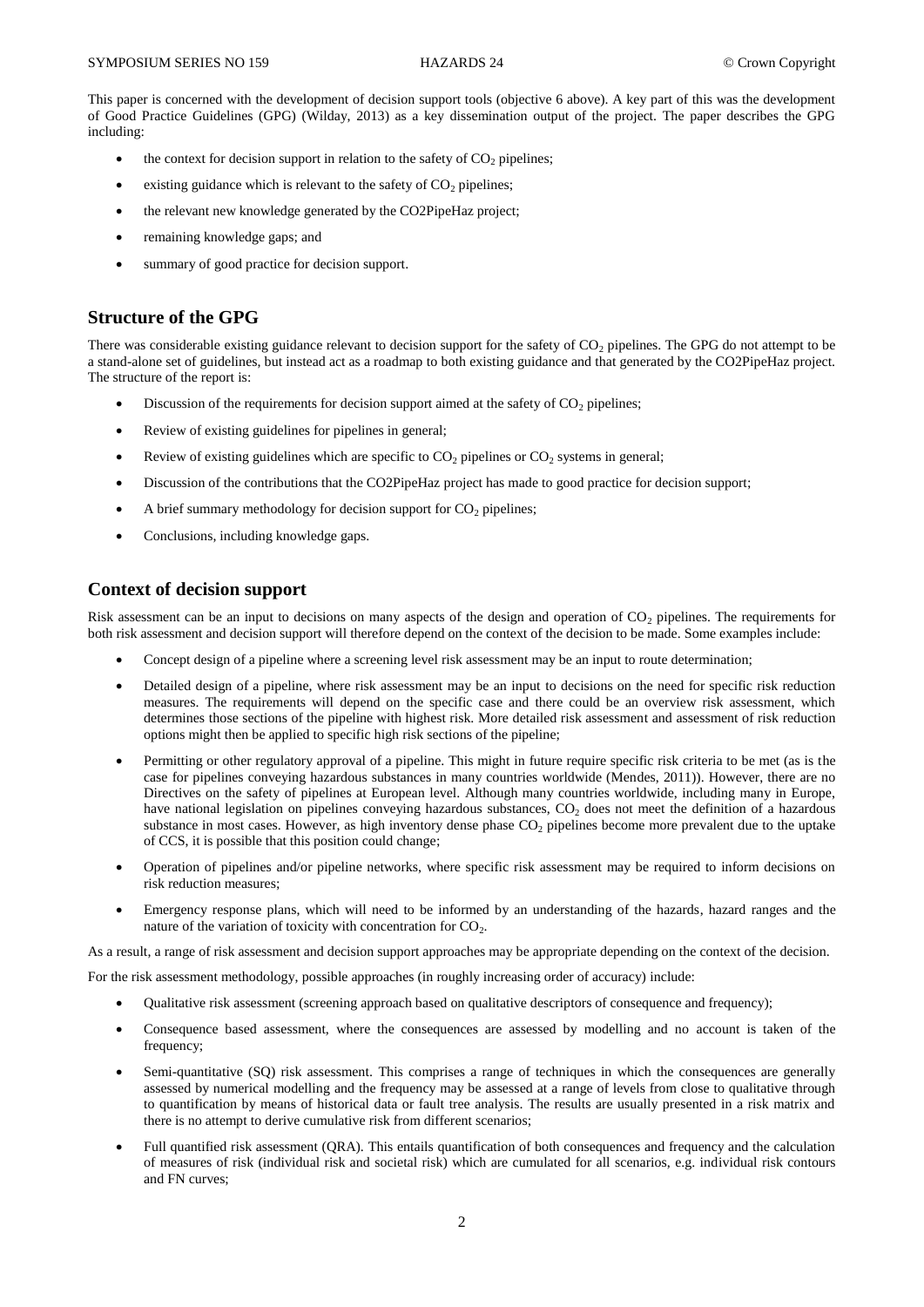This paper is concerned with the development of decision support tools (objective 6 above). A key part of this was the development of Good Practice Guidelines (GPG) (Wilday, 2013) as a key dissemination output of the project. The paper describes the GPG including:

- $\bullet$  the context for decision support in relation to the safety of CO<sub>2</sub> pipelines;
- existing guidance which is relevant to the safety of  $CO<sub>2</sub>$  pipelines;
- the relevant new knowledge generated by the CO2PipeHaz project;
- remaining knowledge gaps; and
- summary of good practice for decision support.

## **Structure of the GPG**

There was considerable existing guidance relevant to decision support for the safety of  $CO<sub>2</sub>$  pipelines. The GPG do not attempt to be a stand-alone set of guidelines, but instead act as a roadmap to both existing guidance and that generated by the CO2PipeHaz project. The structure of the report is:

- Discussion of the requirements for decision support aimed at the safety of  $CO<sub>2</sub>$  pipelines;
- Review of existing guidelines for pipelines in general;
- Exercise Neview of existing guidelines which are specific to  $CO<sub>2</sub>$  pipelines or  $CO<sub>2</sub>$  systems in general;
- Discussion of the contributions that the CO2PipeHaz project has made to good practice for decision support;
- A brief summary methodology for decision support for  $CO<sub>2</sub>$  pipelines;
- Conclusions, including knowledge gaps.

## **Context of decision support**

Risk assessment can be an input to decisions on many aspects of the design and operation of  $CO<sub>2</sub>$  pipelines. The requirements for both risk assessment and decision support will therefore depend on the context of the decision to be made. Some examples include:

- Concept design of a pipeline where a screening level risk assessment may be an input to route determination;
- Detailed design of a pipeline, where risk assessment may be an input to decisions on the need for specific risk reduction measures. The requirements will depend on the specific case and there could be an overview risk assessment, which determines those sections of the pipeline with highest risk. More detailed risk assessment and assessment of risk reduction options might then be applied to specific high risk sections of the pipeline;
- Permitting or other regulatory approval of a pipeline. This might in future require specific risk criteria to be met (as is the case for pipelines conveying hazardous substances in many countries worldwide (Mendes, 2011)). However, there are no Directives on the safety of pipelines at European level. Although many countries worldwide, including many in Europe, have national legislation on pipelines conveying hazardous substances, CO<sub>2</sub> does not meet the definition of a hazardous substance in most cases. However, as high inventory dense phase  $CO<sub>2</sub>$  pipelines become more prevalent due to the uptake of CCS, it is possible that this position could change;
- Operation of pipelines and/or pipeline networks, where specific risk assessment may be required to inform decisions on risk reduction measures;
- Emergency response plans, which will need to be informed by an understanding of the hazards, hazard ranges and the nature of the variation of toxicity with concentration for  $CO<sub>2</sub>$ .

As a result, a range of risk assessment and decision support approaches may be appropriate depending on the context of the decision.

- For the risk assessment methodology, possible approaches (in roughly increasing order of accuracy) include:
	- Qualitative risk assessment (screening approach based on qualitative descriptors of consequence and frequency);
	- Consequence based assessment, where the consequences are assessed by modelling and no account is taken of the frequency;
	- Semi-quantitative (SQ) risk assessment. This comprises a range of techniques in which the consequences are generally assessed by numerical modelling and the frequency may be assessed at a range of levels from close to qualitative through to quantification by means of historical data or fault tree analysis. The results are usually presented in a risk matrix and there is no attempt to derive cumulative risk from different scenarios;
	- Full quantified risk assessment (QRA). This entails quantification of both consequences and frequency and the calculation of measures of risk (individual risk and societal risk) which are cumulated for all scenarios, e.g. individual risk contours and FN curves;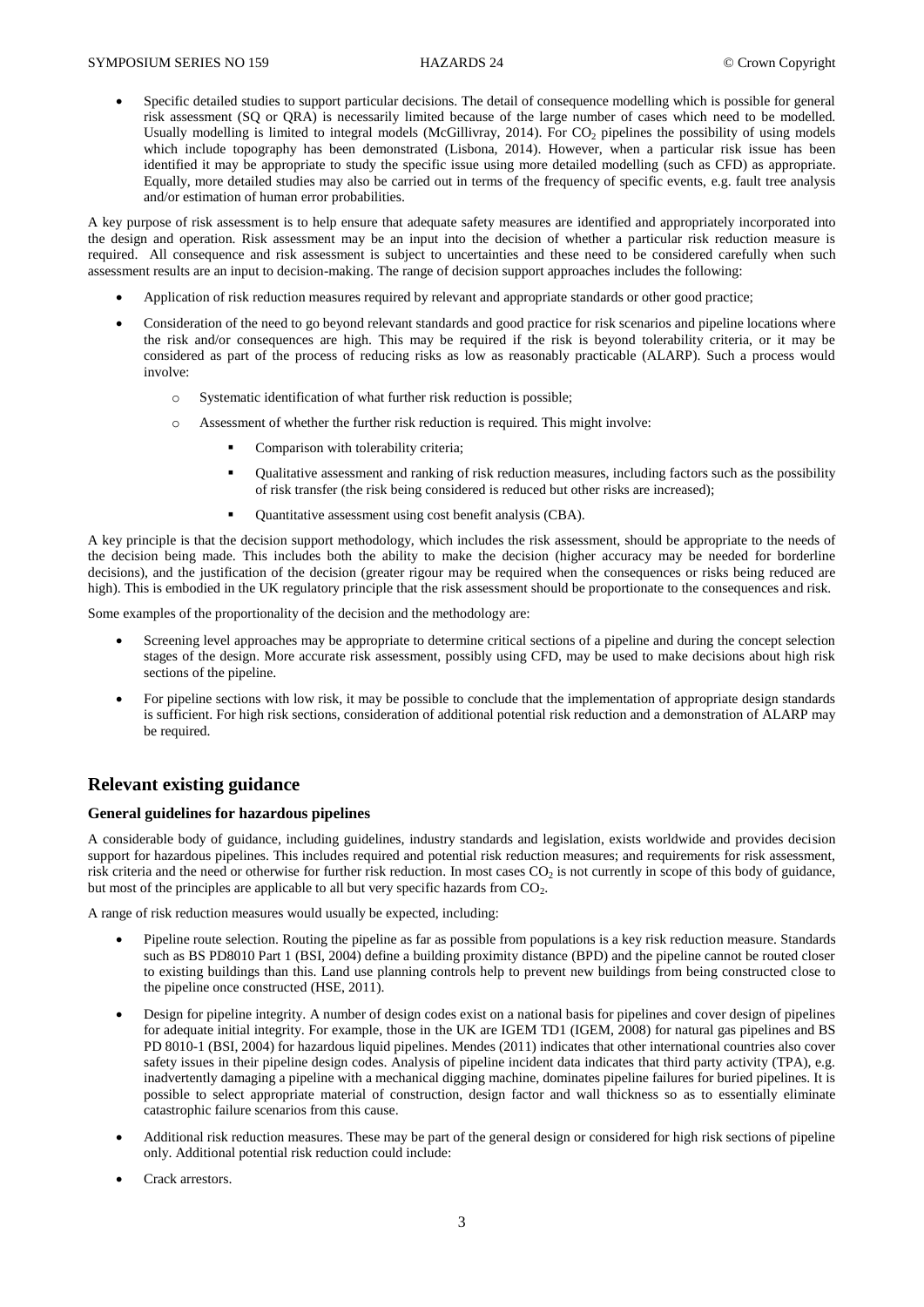Specific detailed studies to support particular decisions. The detail of consequence modelling which is possible for general risk assessment (SQ or QRA) is necessarily limited because of the large number of cases which need to be modelled. Usually modelling is limited to integral models (McGillivray, 2014). For CO<sub>2</sub> pipelines the possibility of using models which include topography has been demonstrated (Lisbona, 2014). However, when a particular risk issue has been identified it may be appropriate to study the specific issue using more detailed modelling (such as CFD) as appropriate. Equally, more detailed studies may also be carried out in terms of the frequency of specific events, e.g. fault tree analysis and/or estimation of human error probabilities.

A key purpose of risk assessment is to help ensure that adequate safety measures are identified and appropriately incorporated into the design and operation. Risk assessment may be an input into the decision of whether a particular risk reduction measure is required. All consequence and risk assessment is subject to uncertainties and these need to be considered carefully when such assessment results are an input to decision-making. The range of decision support approaches includes the following:

- Application of risk reduction measures required by relevant and appropriate standards or other good practice;
- Consideration of the need to go beyond relevant standards and good practice for risk scenarios and pipeline locations where the risk and/or consequences are high. This may be required if the risk is beyond tolerability criteria, or it may be considered as part of the process of reducing risks as low as reasonably practicable (ALARP). Such a process would involve:
	- o Systematic identification of what further risk reduction is possible;
	- o Assessment of whether the further risk reduction is required. This might involve:
		- Comparison with tolerability criteria;
		- Qualitative assessment and ranking of risk reduction measures, including factors such as the possibility of risk transfer (the risk being considered is reduced but other risks are increased);
		- Quantitative assessment using cost benefit analysis (CBA).

A key principle is that the decision support methodology, which includes the risk assessment, should be appropriate to the needs of the decision being made. This includes both the ability to make the decision (higher accuracy may be needed for borderline decisions), and the justification of the decision (greater rigour may be required when the consequences or risks being reduced are high). This is embodied in the UK regulatory principle that the risk assessment should be proportionate to the consequences and risk.

Some examples of the proportionality of the decision and the methodology are:

- Screening level approaches may be appropriate to determine critical sections of a pipeline and during the concept selection stages of the design. More accurate risk assessment, possibly using CFD, may be used to make decisions about high risk sections of the pipeline.
- For pipeline sections with low risk, it may be possible to conclude that the implementation of appropriate design standards is sufficient. For high risk sections, consideration of additional potential risk reduction and a demonstration of ALARP may be required.

## **Relevant existing guidance**

#### **General guidelines for hazardous pipelines**

A considerable body of guidance, including guidelines, industry standards and legislation, exists worldwide and provides decision support for hazardous pipelines. This includes required and potential risk reduction measures; and requirements for risk assessment, risk criteria and the need or otherwise for further risk reduction. In most cases  $CO<sub>2</sub>$  is not currently in scope of this body of guidance, but most of the principles are applicable to all but very specific hazards from  $CO_2$ .

A range of risk reduction measures would usually be expected, including:

- Pipeline route selection. Routing the pipeline as far as possible from populations is a key risk reduction measure. Standards such as BS PD8010 Part 1 (BSI, 2004) define a building proximity distance (BPD) and the pipeline cannot be routed closer to existing buildings than this. Land use planning controls help to prevent new buildings from being constructed close to the pipeline once constructed (HSE, 2011).
- Design for pipeline integrity. A number of design codes exist on a national basis for pipelines and cover design of pipelines for adequate initial integrity. For example, those in the UK are IGEM TD1 (IGEM, 2008) for natural gas pipelines and BS PD 8010-1 (BSI, 2004) for hazardous liquid pipelines. Mendes (2011) indicates that other international countries also cover safety issues in their pipeline design codes. Analysis of pipeline incident data indicates that third party activity (TPA), e.g. inadvertently damaging a pipeline with a mechanical digging machine, dominates pipeline failures for buried pipelines. It is possible to select appropriate material of construction, design factor and wall thickness so as to essentially eliminate catastrophic failure scenarios from this cause.
- Additional risk reduction measures. These may be part of the general design or considered for high risk sections of pipeline only. Additional potential risk reduction could include:
- Crack arrestors.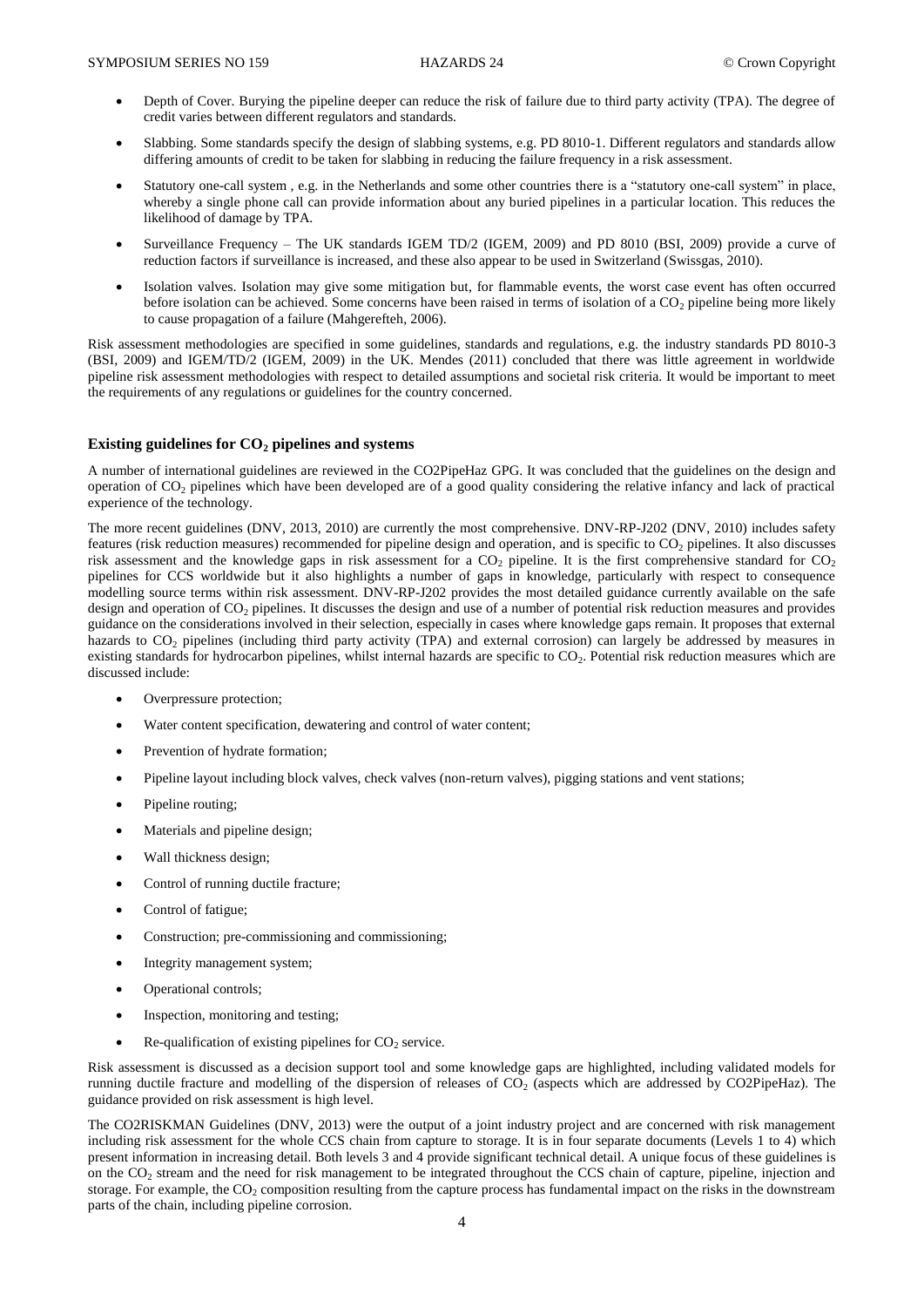- Depth of Cover. Burying the pipeline deeper can reduce the risk of failure due to third party activity (TPA). The degree of credit varies between different regulators and standards.
- Slabbing. Some standards specify the design of slabbing systems, e.g. PD 8010-1. Different regulators and standards allow differing amounts of credit to be taken for slabbing in reducing the failure frequency in a risk assessment.
- Statutory one-call system , e.g. in the Netherlands and some other countries there is a "statutory one-call system" in place, whereby a single phone call can provide information about any buried pipelines in a particular location. This reduces the likelihood of damage by TPA.
- Surveillance Frequency The UK standards IGEM TD/2 (IGEM, 2009) and PD 8010 (BSI, 2009) provide a curve of reduction factors if surveillance is increased, and these also appear to be used in Switzerland (Swissgas, 2010).
- Isolation valves. Isolation may give some mitigation but, for flammable events, the worst case event has often occurred before isolation can be achieved. Some concerns have been raised in terms of isolation of a  $CO<sub>2</sub>$  pipeline being more likely to cause propagation of a failure (Mahgerefteh, 2006).

Risk assessment methodologies are specified in some guidelines, standards and regulations, e.g. the industry standards PD 8010-3 (BSI, 2009) and IGEM/TD/2 (IGEM, 2009) in the UK. Mendes (2011) concluded that there was little agreement in worldwide pipeline risk assessment methodologies with respect to detailed assumptions and societal risk criteria. It would be important to meet the requirements of any regulations or guidelines for the country concerned.

#### **Existing guidelines for CO<sup>2</sup> pipelines and systems**

A number of international guidelines are reviewed in the CO2PipeHaz GPG. It was concluded that the guidelines on the design and operation of CO<sup>2</sup> pipelines which have been developed are of a good quality considering the relative infancy and lack of practical experience of the technology.

The more recent guidelines (DNV, 2013, 2010) are currently the most comprehensive. DNV-RP-J202 (DNV, 2010) includes safety features (risk reduction measures) recommended for pipeline design and operation, and is specific to CO<sub>2</sub> pipelines. It also discusses risk assessment and the knowledge gaps in risk assessment for a  $CO<sub>2</sub>$  pipeline. It is the first comprehensive standard for  $CO<sub>2</sub>$ pipelines for CCS worldwide but it also highlights a number of gaps in knowledge, particularly with respect to consequence modelling source terms within risk assessment. DNV-RP-J202 provides the most detailed guidance currently available on the safe design and operation of CO<sub>2</sub> pipelines. It discusses the design and use of a number of potential risk reduction measures and provides guidance on the considerations involved in their selection, especially in cases where knowledge gaps remain. It proposes that external hazards to CO<sub>2</sub> pipelines (including third party activity (TPA) and external corrosion) can largely be addressed by measures in existing standards for hydrocarbon pipelines, whilst internal hazards are specific to  $CO<sub>2</sub>$ . Potential risk reduction measures which are discussed include:

- Overpressure protection;
- Water content specification, dewatering and control of water content;
- Prevention of hydrate formation;
- Pipeline layout including block valves, check valves (non-return valves), pigging stations and vent stations;
- Pipeline routing;
- Materials and pipeline design;
- Wall thickness design;
- Control of running ductile fracture;
- Control of fatigue;
- Construction; pre-commissioning and commissioning;
- Integrity management system;
- Operational controls;
- Inspection, monitoring and testing;
- Re-qualification of existing pipelines for  $CO<sub>2</sub>$  service.

Risk assessment is discussed as a decision support tool and some knowledge gaps are highlighted, including validated models for running ductile fracture and modelling of the dispersion of releases of  $CO<sub>2</sub>$  (aspects which are addressed by CO2PipeHaz). The guidance provided on risk assessment is high level.

The CO2RISKMAN Guidelines (DNV, 2013) were the output of a joint industry project and are concerned with risk management including risk assessment for the whole CCS chain from capture to storage. It is in four separate documents (Levels 1 to 4) which present information in increasing detail. Both levels 3 and 4 provide significant technical detail. A unique focus of these guidelines is on the CO<sub>2</sub> stream and the need for risk management to be integrated throughout the CCS chain of capture, pipeline, injection and storage. For example, the  $CO<sub>2</sub>$  composition resulting from the capture process has fundamental impact on the risks in the downstream parts of the chain, including pipeline corrosion.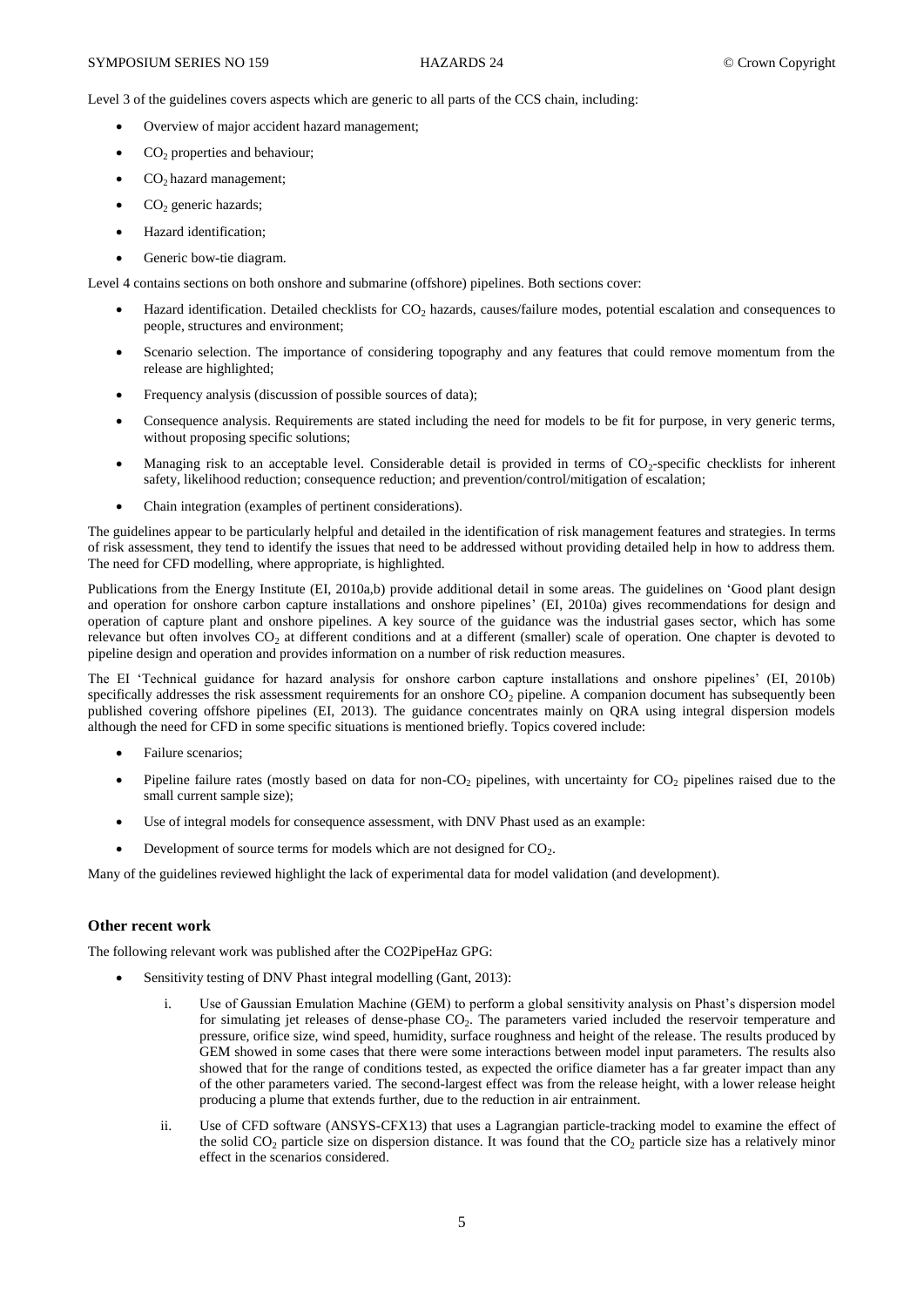Level 3 of the guidelines covers aspects which are generic to all parts of the CCS chain, including:

- Overview of major accident hazard management;
- CO<sub>2</sub> properties and behaviour;
- $\bullet$  CO<sub>2</sub> hazard management;
- $\bullet$  CO<sub>2</sub> generic hazards:
- Hazard identification;
- Generic bow-tie diagram.

Level 4 contains sections on both onshore and submarine (offshore) pipelines. Both sections cover:

- Hazard identification. Detailed checklists for CO<sub>2</sub> hazards, causes/failure modes, potential escalation and consequences to people, structures and environment;
- Scenario selection. The importance of considering topography and any features that could remove momentum from the release are highlighted;
- Frequency analysis (discussion of possible sources of data);
- Consequence analysis. Requirements are stated including the need for models to be fit for purpose, in very generic terms, without proposing specific solutions;
- Managing risk to an acceptable level. Considerable detail is provided in terms of CO<sub>2</sub>-specific checklists for inherent safety, likelihood reduction; consequence reduction; and prevention/control/mitigation of escalation;
- Chain integration (examples of pertinent considerations).

The guidelines appear to be particularly helpful and detailed in the identification of risk management features and strategies. In terms of risk assessment, they tend to identify the issues that need to be addressed without providing detailed help in how to address them. The need for CFD modelling, where appropriate, is highlighted.

Publications from the Energy Institute (EI, 2010a,b) provide additional detail in some areas. The guidelines on 'Good plant design and operation for onshore carbon capture installations and onshore pipelines' (EI, 2010a) gives recommendations for design and operation of capture plant and onshore pipelines. A key source of the guidance was the industrial gases sector, which has some relevance but often involves CO<sub>2</sub> at different conditions and at a different (smaller) scale of operation. One chapter is devoted to pipeline design and operation and provides information on a number of risk reduction measures.

The EI 'Technical guidance for hazard analysis for onshore carbon capture installations and onshore pipelines' (EI, 2010b) specifically addresses the risk assessment requirements for an onshore  $CO<sub>2</sub>$  pipeline. A companion document has subsequently been published covering offshore pipelines (EI, 2013). The guidance concentrates mainly on QRA using integral dispersion models although the need for CFD in some specific situations is mentioned briefly. Topics covered include:

- Failure scenarios;
- Pipeline failure rates (mostly based on data for non-CO<sub>2</sub> pipelines, with uncertainty for  $CO<sub>2</sub>$  pipelines raised due to the small current sample size);
- Use of integral models for consequence assessment, with DNV Phast used as an example:
- Development of source terms for models which are not designed for  $CO<sub>2</sub>$ .

Many of the guidelines reviewed highlight the lack of experimental data for model validation (and development).

## **Other recent work**

The following relevant work was published after the CO2PipeHaz GPG:

- Sensitivity testing of DNV Phast integral modelling (Gant, 2013):
	- i. Use of Gaussian Emulation Machine (GEM) to perform a global sensitivity analysis on Phast's dispersion model for simulating jet releases of dense-phase CO<sub>2</sub>. The parameters varied included the reservoir temperature and pressure, orifice size, wind speed, humidity, surface roughness and height of the release. The results produced by GEM showed in some cases that there were some interactions between model input parameters. The results also showed that for the range of conditions tested, as expected the orifice diameter has a far greater impact than any of the other parameters varied. The second-largest effect was from the release height, with a lower release height producing a plume that extends further, due to the reduction in air entrainment.
	- ii. Use of CFD software (ANSYS-CFX13) that uses a Lagrangian particle-tracking model to examine the effect of the solid  $CO<sub>2</sub>$  particle size on dispersion distance. It was found that the  $CO<sub>2</sub>$  particle size has a relatively minor effect in the scenarios considered.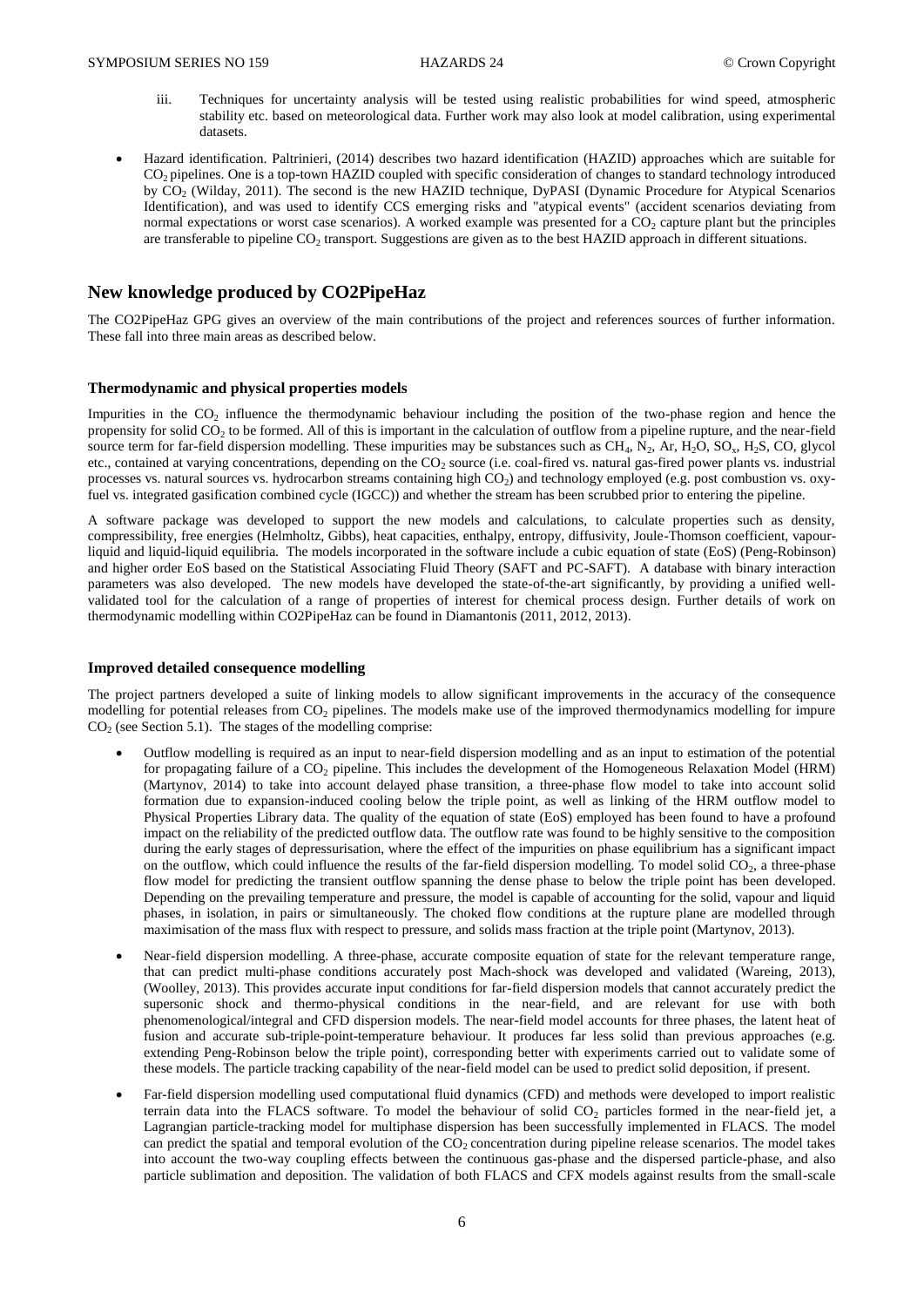- iii. Techniques for uncertainty analysis will be tested using realistic probabilities for wind speed, atmospheric stability etc. based on meteorological data. Further work may also look at model calibration, using experimental datasets.
- Hazard identification. Paltrinieri, (2014) describes two hazard identification (HAZID) approaches which are suitable for CO<sub>2</sub> pipelines. One is a top-town HAZID coupled with specific consideration of changes to standard technology introduced by CO<sub>2</sub> (Wilday, 2011). The second is the new HAZID technique, DyPASI (Dynamic Procedure for Atypical Scenarios Identification), and was used to identify CCS emerging risks and "atypical events" (accident scenarios deviating from normal expectations or worst case scenarios). A worked example was presented for a  $CO<sub>2</sub>$  capture plant but the principles are transferable to pipeline CO<sub>2</sub> transport. Suggestions are given as to the best HAZID approach in different situations.

## **New knowledge produced by CO2PipeHaz**

The CO2PipeHaz GPG gives an overview of the main contributions of the project and references sources of further information. These fall into three main areas as described below.

#### **Thermodynamic and physical properties models**

Impurities in the  $CO<sub>2</sub>$  influence the thermodynamic behaviour including the position of the two-phase region and hence the propensity for solid  $CO<sub>2</sub>$  to be formed. All of this is important in the calculation of outflow from a pipeline rupture, and the near-field source term for far-field dispersion modelling. These impurities may be substances such as  $CH_4$ ,  $N_2$ ,  $Ar$ ,  $H_2O$ ,  $SO_x$ ,  $H_2S$ ,  $CO$ , glycol etc., contained at varying concentrations, depending on the  $CO<sub>2</sub>$  source (i.e. coal-fired vs. natural gas-fired power plants vs. industrial processes vs. natural sources vs. hydrocarbon streams containing high  $CO<sub>2</sub>$ ) and technology employed (e.g. post combustion vs. oxyfuel vs. integrated gasification combined cycle (IGCC)) and whether the stream has been scrubbed prior to entering the pipeline.

A software package was developed to support the new models and calculations, to calculate properties such as density, compressibility, free energies (Helmholtz, Gibbs), heat capacities, enthalpy, entropy, diffusivity, Joule-Thomson coefficient, vapourliquid and liquid-liquid equilibria. The models incorporated in the software include a cubic equation of state (EoS) (Peng-Robinson) and higher order EoS based on the Statistical Associating Fluid Theory (SAFT and PC-SAFT). A database with binary interaction parameters was also developed. The new models have developed the state-of-the-art significantly, by providing a unified wellvalidated tool for the calculation of a range of properties of interest for chemical process design. Further details of work on thermodynamic modelling within CO2PipeHaz can be found in Diamantonis (2011, 2012, 2013).

#### **Improved detailed consequence modelling**

The project partners developed a suite of linking models to allow significant improvements in the accuracy of the consequence modelling for potential releases from  $CO<sub>2</sub>$  pipelines. The models make use of the improved thermodynamics modelling for impure  $CO<sub>2</sub>$  (see Section 5.1). The stages of the modelling comprise:

- Outflow modelling is required as an input to near-field dispersion modelling and as an input to estimation of the potential for propagating failure of a  $CO<sub>2</sub>$  pipeline. This includes the development of the Homogeneous Relaxation Model (HRM) (Martynov, 2014) to take into account delayed phase transition, a three-phase flow model to take into account solid formation due to expansion-induced cooling below the triple point, as well as linking of the HRM outflow model to Physical Properties Library data. The quality of the equation of state (EoS) employed has been found to have a profound impact on the reliability of the predicted outflow data. The outflow rate was found to be highly sensitive to the composition during the early stages of depressurisation, where the effect of the impurities on phase equilibrium has a significant impact on the outflow, which could influence the results of the far-field dispersion modelling. To model solid  $CO<sub>2</sub>$ , a three-phase flow model for predicting the transient outflow spanning the dense phase to below the triple point has been developed. Depending on the prevailing temperature and pressure, the model is capable of accounting for the solid, vapour and liquid phases, in isolation, in pairs or simultaneously. The choked flow conditions at the rupture plane are modelled through maximisation of the mass flux with respect to pressure, and solids mass fraction at the triple point (Martynov, 2013).
- Near-field dispersion modelling. A three-phase, accurate composite equation of state for the relevant temperature range, that can predict multi-phase conditions accurately post Mach-shock was developed and validated (Wareing, 2013), (Woolley, 2013). This provides accurate input conditions for far-field dispersion models that cannot accurately predict the supersonic shock and thermo-physical conditions in the near-field, and are relevant for use with both phenomenological/integral and CFD dispersion models. The near-field model accounts for three phases, the latent heat of fusion and accurate sub-triple-point-temperature behaviour. It produces far less solid than previous approaches (e.g. extending Peng-Robinson below the triple point), corresponding better with experiments carried out to validate some of these models. The particle tracking capability of the near-field model can be used to predict solid deposition, if present.
- Far-field dispersion modelling used computational fluid dynamics (CFD) and methods were developed to import realistic terrain data into the FLACS software. To model the behaviour of solid  $CO<sub>2</sub>$  particles formed in the near-field jet, a Lagrangian particle-tracking model for multiphase dispersion has been successfully implemented in FLACS. The model can predict the spatial and temporal evolution of the  $CO<sub>2</sub>$  concentration during pipeline release scenarios. The model takes into account the two-way coupling effects between the continuous gas-phase and the dispersed particle-phase, and also particle sublimation and deposition. The validation of both FLACS and CFX models against results from the small-scale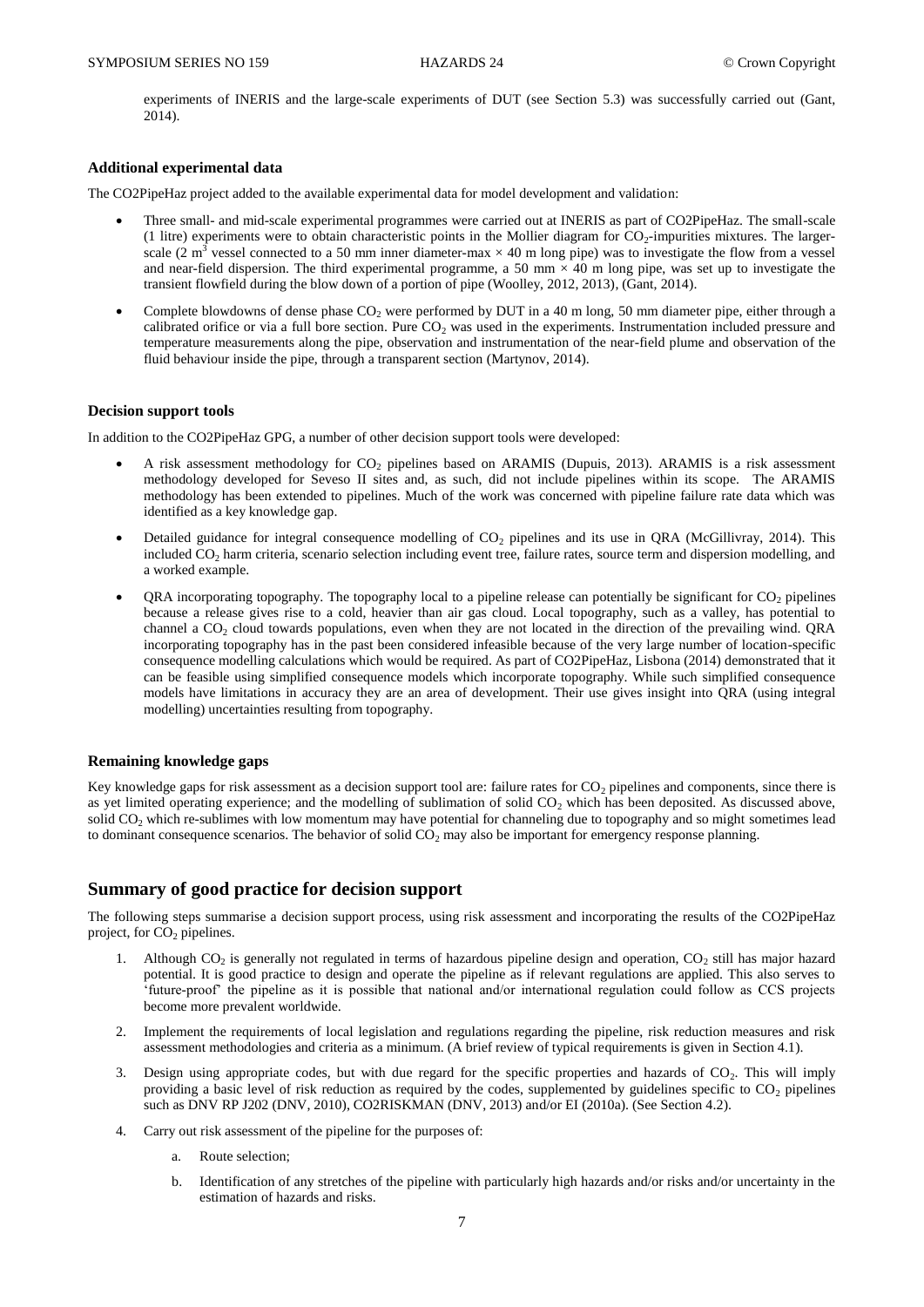experiments of INERIS and the large-scale experiments of DUT (see Section 5.3) was successfully carried out (Gant, 2014).

#### **Additional experimental data**

The CO2PipeHaz project added to the available experimental data for model development and validation:

- Three small- and mid-scale experimental programmes were carried out at INERIS as part of CO2PipeHaz. The small-scale (1 litre) experiments were to obtain characteristic points in the Mollier diagram for  $CO_2$ -impurities mixtures. The largerscale (2 m<sup>3</sup> vessel connected to a 50 mm inner diameter-max  $\times$  40 m long pipe) was to investigate the flow from a vessel and near-field dispersion. The third experimental programme, a 50 mm  $\times$  40 m long pipe, was set up to investigate the transient flowfield during the blow down of a portion of pipe (Woolley, 2012, 2013), (Gant, 2014).
- Complete blowdowns of dense phase CO<sub>2</sub> were performed by DUT in a 40 m long, 50 mm diameter pipe, either through a calibrated orifice or via a full bore section. Pure  $CO<sub>2</sub>$  was used in the experiments. Instrumentation included pressure and temperature measurements along the pipe, observation and instrumentation of the near-field plume and observation of the fluid behaviour inside the pipe, through a transparent section (Martynov, 2014).

#### **Decision support tools**

In addition to the CO2PipeHaz GPG, a number of other decision support tools were developed:

- A risk assessment methodology for CO<sub>2</sub> pipelines based on ARAMIS (Dupuis, 2013). ARAMIS is a risk assessment methodology developed for Seveso II sites and, as such, did not include pipelines within its scope. The ARAMIS methodology has been extended to pipelines. Much of the work was concerned with pipeline failure rate data which was identified as a key knowledge gap.
- Detailed guidance for integral consequence modelling of  $CO<sub>2</sub>$  pipelines and its use in QRA (McGillivray, 2014). This included CO<sub>2</sub> harm criteria, scenario selection including event tree, failure rates, source term and dispersion modelling, and a worked example.
- QRA incorporating topography. The topography local to a pipeline release can potentially be significant for  $CO<sub>2</sub>$  pipelines because a release gives rise to a cold, heavier than air gas cloud. Local topography, such as a valley, has potential to channel a  $CO<sub>2</sub>$  cloud towards populations, even when they are not located in the direction of the prevailing wind. QRA incorporating topography has in the past been considered infeasible because of the very large number of location-specific consequence modelling calculations which would be required. As part of CO2PipeHaz, Lisbona (2014) demonstrated that it can be feasible using simplified consequence models which incorporate topography. While such simplified consequence models have limitations in accuracy they are an area of development. Their use gives insight into QRA (using integral modelling) uncertainties resulting from topography.

#### **Remaining knowledge gaps**

Key knowledge gaps for risk assessment as a decision support tool are: failure rates for  $CO<sub>2</sub>$  pipelines and components, since there is as yet limited operating experience; and the modelling of sublimation of solid  $CO<sub>2</sub>$  which has been deposited. As discussed above, solid  $CO<sub>2</sub>$  which re-sublimes with low momentum may have potential for channeling due to topography and so might sometimes lead to dominant consequence scenarios. The behavior of solid  $CO<sub>2</sub>$  may also be important for emergency response planning.

## **Summary of good practice for decision support**

The following steps summarise a decision support process, using risk assessment and incorporating the results of the CO2PipeHaz project, for  $CO<sub>2</sub>$  pipelines.

- 1. Although  $CO_2$  is generally not regulated in terms of hazardous pipeline design and operation,  $CO_2$  still has major hazard potential. It is good practice to design and operate the pipeline as if relevant regulations are applied. This also serves to 'future-proof' the pipeline as it is possible that national and/or international regulation could follow as CCS projects become more prevalent worldwide.
- 2. Implement the requirements of local legislation and regulations regarding the pipeline, risk reduction measures and risk assessment methodologies and criteria as a minimum. (A brief review of typical requirements is given in Section 4.1).
- 3. Design using appropriate codes, but with due regard for the specific properties and hazards of  $CO<sub>2</sub>$ . This will imply providing a basic level of risk reduction as required by the codes, supplemented by guidelines specific to  $CO<sub>2</sub>$  pipelines such as DNV RP J202 (DNV, 2010), CO2RISKMAN (DNV, 2013) and/or EI (2010a). (See Section 4.2).
- 4. Carry out risk assessment of the pipeline for the purposes of:
	- a. Route selection;
	- b. Identification of any stretches of the pipeline with particularly high hazards and/or risks and/or uncertainty in the estimation of hazards and risks.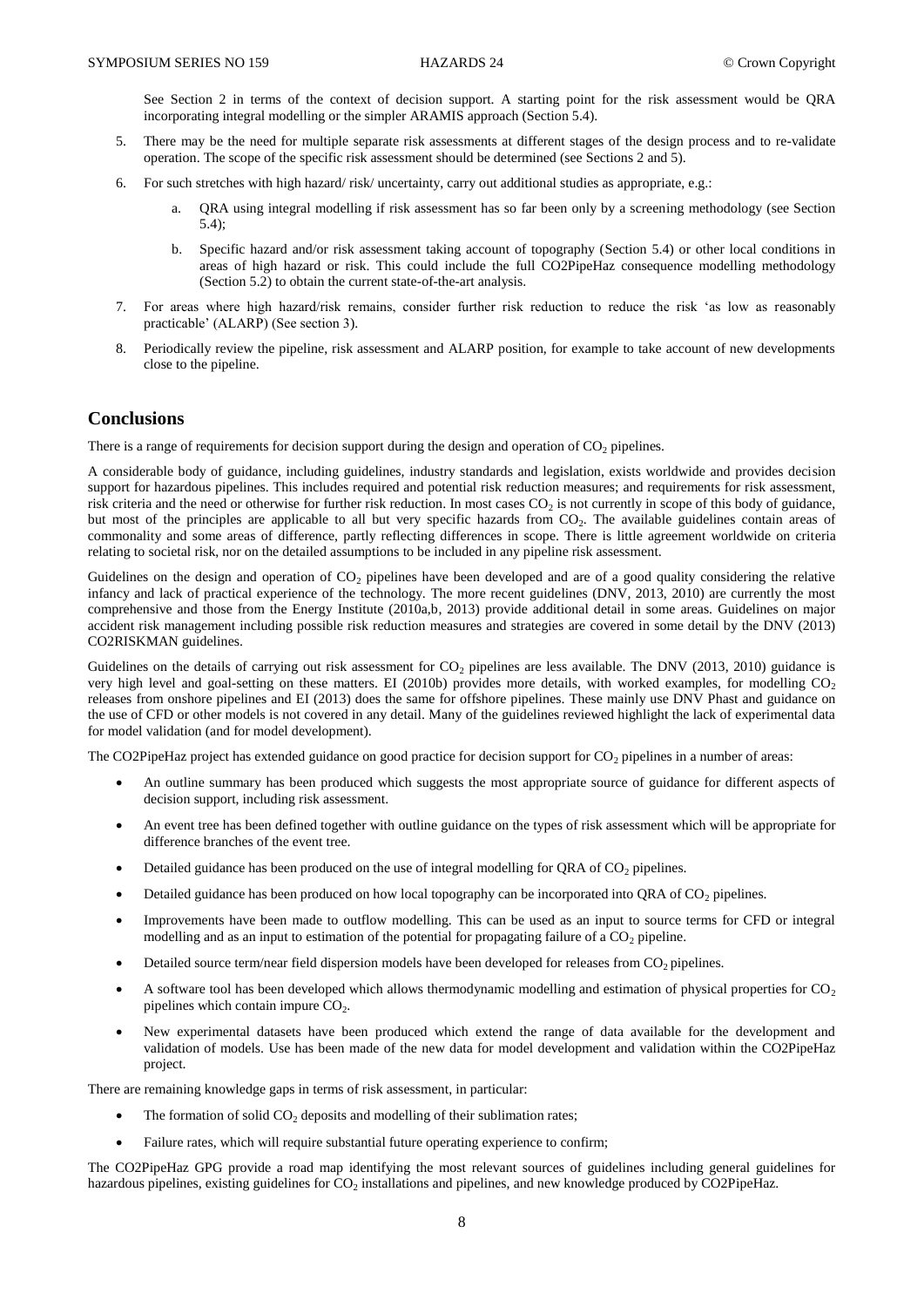See Section 2 in terms of the context of decision support. A starting point for the risk assessment would be QRA incorporating integral modelling or the simpler ARAMIS approach (Section 5.4).

- 5. There may be the need for multiple separate risk assessments at different stages of the design process and to re-validate operation. The scope of the specific risk assessment should be determined (see Sections 2 and 5).
- 6. For such stretches with high hazard/ risk/ uncertainty, carry out additional studies as appropriate, e.g.:
	- a. QRA using integral modelling if risk assessment has so far been only by a screening methodology (see Section 5.4);
	- b. Specific hazard and/or risk assessment taking account of topography (Section 5.4) or other local conditions in areas of high hazard or risk. This could include the full CO2PipeHaz consequence modelling methodology (Section 5.2) to obtain the current state-of-the-art analysis.
- 7. For areas where high hazard/risk remains, consider further risk reduction to reduce the risk 'as low as reasonably practicable' (ALARP) (See section 3).
- 8. Periodically review the pipeline, risk assessment and ALARP position, for example to take account of new developments close to the pipeline.

## **Conclusions**

There is a range of requirements for decision support during the design and operation of  $CO<sub>2</sub>$  pipelines.

A considerable body of guidance, including guidelines, industry standards and legislation, exists worldwide and provides decision support for hazardous pipelines. This includes required and potential risk reduction measures; and requirements for risk assessment, risk criteria and the need or otherwise for further risk reduction. In most cases  $CO<sub>2</sub>$  is not currently in scope of this body of guidance, but most of the principles are applicable to all but very specific hazards from  $CO<sub>2</sub>$ . The available guidelines contain areas of commonality and some areas of difference, partly reflecting differences in scope. There is little agreement worldwide on criteria relating to societal risk, nor on the detailed assumptions to be included in any pipeline risk assessment.

Guidelines on the design and operation of  $CO<sub>2</sub>$  pipelines have been developed and are of a good quality considering the relative infancy and lack of practical experience of the technology. The more recent guidelines (DNV, 2013, 2010) are currently the most comprehensive and those from the Energy Institute (2010a,b, 2013) provide additional detail in some areas. Guidelines on major accident risk management including possible risk reduction measures and strategies are covered in some detail by the DNV (2013) CO2RISKMAN guidelines.

Guidelines on the details of carrying out risk assessment for  $CO<sub>2</sub>$  pipelines are less available. The DNV (2013, 2010) guidance is very high level and goal-setting on these matters. EI (2010b) provides more details, with worked examples, for modelling  $CO<sub>2</sub>$ releases from onshore pipelines and EI (2013) does the same for offshore pipelines. These mainly use DNV Phast and guidance on the use of CFD or other models is not covered in any detail. Many of the guidelines reviewed highlight the lack of experimental data for model validation (and for model development).

The CO2PipeHaz project has extended guidance on good practice for decision support for  $CO<sub>2</sub>$  pipelines in a number of areas:

- An outline summary has been produced which suggests the most appropriate source of guidance for different aspects of decision support, including risk assessment.
- An event tree has been defined together with outline guidance on the types of risk assessment which will be appropriate for difference branches of the event tree.
- Detailed guidance has been produced on the use of integral modelling for QRA of CO<sub>2</sub> pipelines.
- $\bullet$  Detailed guidance has been produced on how local topography can be incorporated into ORA of CO<sub>2</sub> pipelines.
- Improvements have been made to outflow modelling. This can be used as an input to source terms for CFD or integral modelling and as an input to estimation of the potential for propagating failure of a  $CO<sub>2</sub>$  pipeline.
- Detailed source term/near field dispersion models have been developed for releases from  $CO<sub>2</sub>$  pipelines.
- A software tool has been developed which allows thermodynamic modelling and estimation of physical properties for  $CO<sub>2</sub>$ pipelines which contain impure  $CO<sub>2</sub>$ .
- New experimental datasets have been produced which extend the range of data available for the development and validation of models. Use has been made of the new data for model development and validation within the CO2PipeHaz project.

There are remaining knowledge gaps in terms of risk assessment, in particular:

- The formation of solid  $CO<sub>2</sub>$  deposits and modelling of their sublimation rates;
- Failure rates, which will require substantial future operating experience to confirm;

The CO2PipeHaz GPG provide a road map identifying the most relevant sources of guidelines including general guidelines for hazardous pipelines, existing guidelines for  $CO_2$  installations and pipelines, and new knowledge produced by CO2PipeHaz.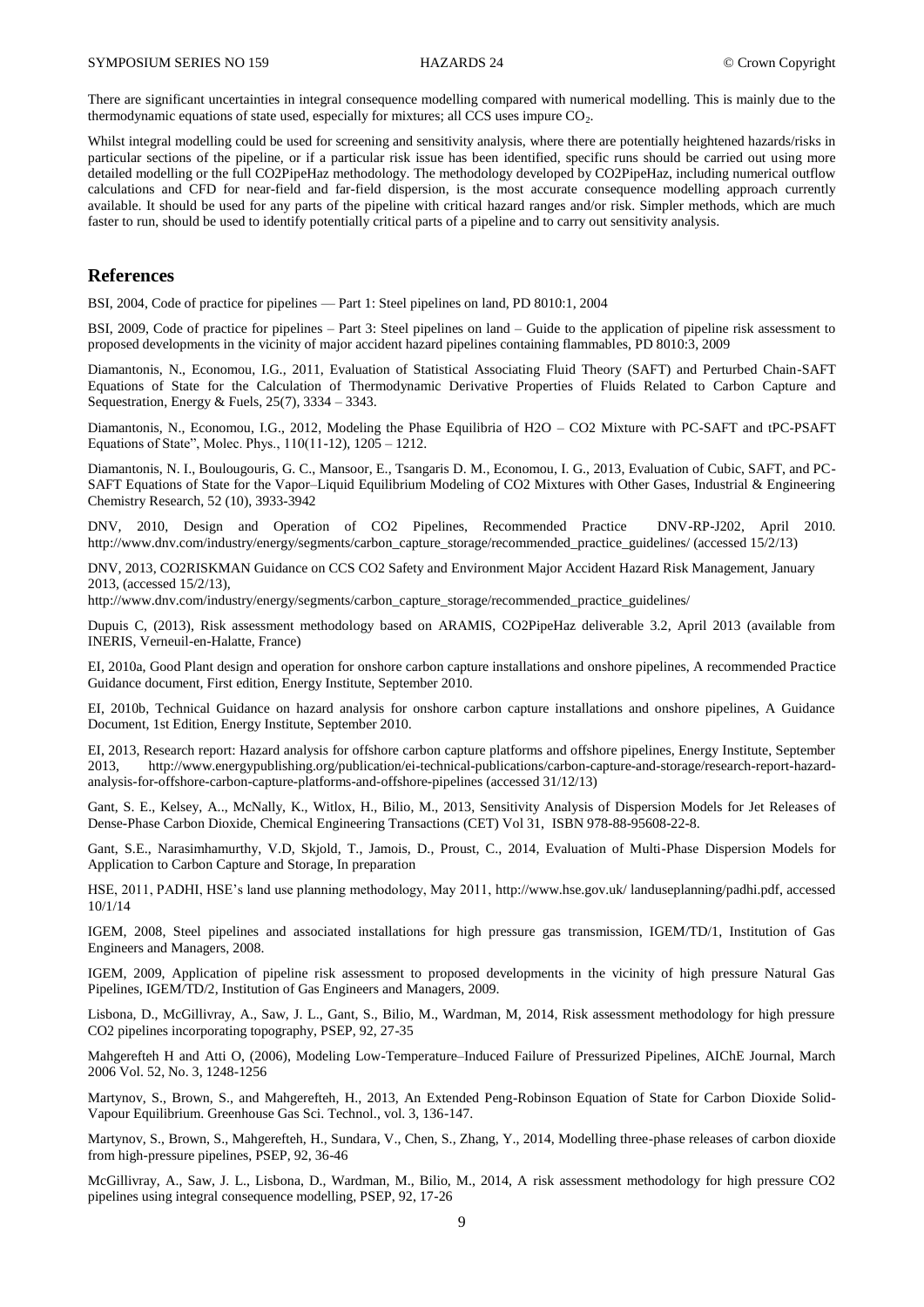There are significant uncertainties in integral consequence modelling compared with numerical modelling. This is mainly due to the thermodynamic equations of state used, especially for mixtures; all CCS uses impure  $CO<sub>2</sub>$ .

Whilst integral modelling could be used for screening and sensitivity analysis, where there are potentially heightened hazards/risks in particular sections of the pipeline, or if a particular risk issue has been identified, specific runs should be carried out using more detailed modelling or the full CO2PipeHaz methodology. The methodology developed by CO2PipeHaz, including numerical outflow calculations and CFD for near-field and far-field dispersion, is the most accurate consequence modelling approach currently available. It should be used for any parts of the pipeline with critical hazard ranges and/or risk. Simpler methods, which are much faster to run, should be used to identify potentially critical parts of a pipeline and to carry out sensitivity analysis.

### **References**

BSI, 2004, Code of practice for pipelines — Part 1: Steel pipelines on land, PD 8010:1, 2004

BSI, 2009, Code of practice for pipelines – Part 3: Steel pipelines on land – Guide to the application of pipeline risk assessment to proposed developments in the vicinity of major accident hazard pipelines containing flammables, PD 8010:3, 2009

Diamantonis, N., Economou, I.G., 2011, Evaluation of Statistical Associating Fluid Theory (SAFT) and Perturbed Chain-SAFT Equations of State for the Calculation of Thermodynamic Derivative Properties of Fluids Related to Carbon Capture and Sequestration, Energy & Fuels, 25(7), 3334 – 3343.

Diamantonis, N., Economou, I.G., 2012, Modeling the Phase Equilibria of H2O – CO2 Mixture with PC-SAFT and tPC-PSAFT Equations of State", Molec. Phys., 110(11-12), 1205 – 1212.

Diamantonis, N. I., Boulougouris, G. C., Mansoor, E., Tsangaris D. M., Economou, I. G., 2013, Evaluation of Cubic, SAFT, and PC-SAFT Equations of State for the Vapor–Liquid Equilibrium Modeling of CO2 Mixtures with Other Gases, Industrial & Engineering Chemistry Research, 52 (10), 3933-3942

DNV, 2010, Design and Operation of CO2 Pipelines, Recommended Practice DNV-RP-J202, April 2010. http://www.dnv.com/industry/energy/segments/carbon\_capture\_storage/recommended\_practice\_guidelines/ (accessed 15/2/13)

DNV, 2013, CO2RISKMAN Guidance on CCS CO2 Safety and Environment Major Accident Hazard Risk Management, January 2013, (accessed 15/2/13),

http://www.dnv.com/industry/energy/segments/carbon\_capture\_storage/recommended\_practice\_guidelines/

Dupuis C, (2013), Risk assessment methodology based on ARAMIS, CO2PipeHaz deliverable 3.2, April 2013 (available from INERIS, Verneuil-en-Halatte, France)

EI, 2010a, Good Plant design and operation for onshore carbon capture installations and onshore pipelines, A recommended Practice Guidance document, First edition, Energy Institute, September 2010.

EI, 2010b, Technical Guidance on hazard analysis for onshore carbon capture installations and onshore pipelines, A Guidance Document, 1st Edition, Energy Institute, September 2010.

EI, 2013, Research report: Hazard analysis for offshore carbon capture platforms and offshore pipelines, Energy Institute, September 2013, [http://www.energypublishing.org/publication/ei-technical-publications/carbon-capture-and-storage/research-report-hazard](http://www.energypublishing.org/publication/ei-technical-publications/carbon-capture-and-storage/research-report-hazard-analysis-for-offshore-carbon-capture-platforms-and-offshore-pipelines)[analysis-for-offshore-carbon-capture-platforms-and-offshore-pipelines](http://www.energypublishing.org/publication/ei-technical-publications/carbon-capture-and-storage/research-report-hazard-analysis-for-offshore-carbon-capture-platforms-and-offshore-pipelines) (accessed 31/12/13)

Gant, S. E., Kelsey, A.., McNally, K., Witlox, H., Bilio, M., 2013, Sensitivity Analysis of Dispersion Models for Jet Releases of Dense-Phase Carbon Dioxide, Chemical Engineering Transactions (CET) Vol 31, ISBN 978-88-95608-22-8.

Gant, S.E., Narasimhamurthy, V.D, Skjold, T., Jamois, D., Proust, C., 2014, Evaluation of Multi-Phase Dispersion Models for Application to Carbon Capture and Storage, In preparation

HSE, 2011, PADHI, HSE's land use planning methodology, May 2011, [http://www.hse.gov.uk/ landuseplanning/padhi.pdf,](http://www.hse.gov.uk/%20landuseplanning/padhi.pdf) accessed 10/1/14

IGEM, 2008, Steel pipelines and associated installations for high pressure gas transmission, IGEM/TD/1, Institution of Gas Engineers and Managers, 2008.

IGEM, 2009, Application of pipeline risk assessment to proposed developments in the vicinity of high pressure Natural Gas Pipelines, IGEM/TD/2, Institution of Gas Engineers and Managers, 2009.

Lisbona, D., McGillivray, A., Saw, J. L., Gant, S., Bilio, M., Wardman, M, 2014, Risk assessment methodology for high pressure CO2 pipelines incorporating topography, PSEP, 92, 27-35

Mahgerefteh H and Atti O, (2006), Modeling Low-Temperature–Induced Failure of Pressurized Pipelines, AIChE Journal, March 2006 Vol. 52, No. 3, 1248-1256

Martynov, S., Brown, S., and Mahgerefteh, H., 2013, An Extended Peng-Robinson Equation of State for Carbon Dioxide Solid-Vapour Equilibrium. Greenhouse Gas Sci. Technol., vol. 3, 136-147.

Martynov, S., Brown, S., Mahgerefteh, H., Sundara, V., Chen, S., Zhang, Y., 2014, Modelling three-phase releases of carbon dioxide from high-pressure pipelines, PSEP, 92, 36-46

McGillivray, A., Saw, J. L., Lisbona, D., Wardman, M., Bilio, M., 2014, A risk assessment methodology for high pressure CO2 pipelines using integral consequence modelling, PSEP, 92, 17-26